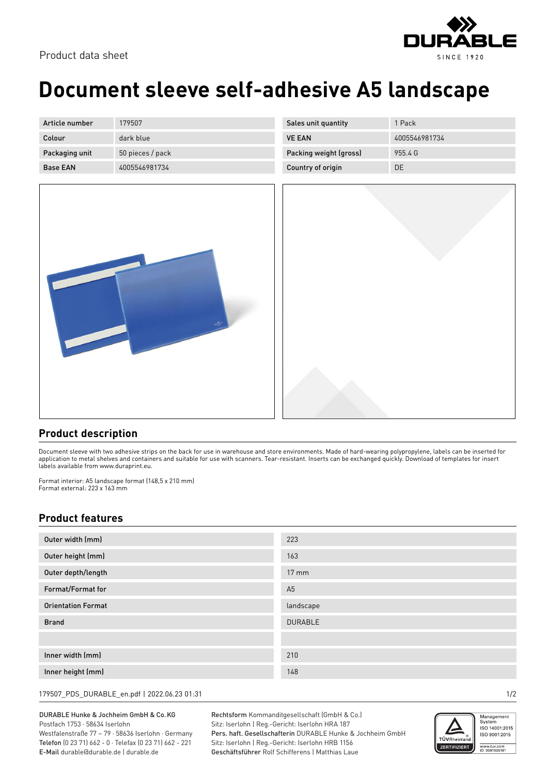

## **Document sleeve self-adhesive A5 landscape**

| Article number  | 179507           |
|-----------------|------------------|
| Colour          | dark blue        |
| Packaging unit  | 50 pieces / pack |
| <b>Base FAN</b> | 4005546981734    |

| 1 Pack        |
|---------------|
| 4005546981734 |
| 9554G         |
| DE.           |
|               |



## **Product description**

Document sleeve with two adhesive strips on the back for use in warehouse and store environments. Made of hard-wearing polypropylene, labels can be inserted for application to metal shelves and containers and suitable for use with scanners. Tear-resistant. Inserts can be exchanged quickly. Download of templates for insert labels available from www.duraprint.eu.

Format interior: A5 landscape format (148,5 x 210 mm) Format external: 223 x 163 mm

## **Product features**

| Outer width (mm)          | 223             |
|---------------------------|-----------------|
| Outer height (mm)         | 163             |
| Outer depth/length        | $17 \text{ mm}$ |
| Format/Format for         | A <sub>5</sub>  |
| <b>Orientation Format</b> | landscape       |
| <b>Brand</b>              | <b>DURABLE</b>  |
|                           |                 |
| Inner width (mm)          | 210             |
| Inner height (mm)         | 148             |

179507\_PDS\_DURABLE\_en.pdf | 2022.06.23 01:31 1/2

DURABLE Hunke & Jochheim GmbH & Co.KG Postfach 1753 · 58634 Iserlohn

Westfalenstraße 77 – 79 · 58636 Iserlohn · Germany Telefon (0 23 71) 662 - 0 · Telefax (0 23 71) 662 - 221 E-Mail durable@durable.de | durable.de

Rechtsform Kommanditgesellschaft (GmbH & Co.) Sitz: Iserlohn | Reg.-Gericht: Iserlohn HRA 187 Pers. haft. Gesellschafterin DURABLE Hunke & Jochheim GmbH Sitz: Iserlohn | Reg.-Gericht: Iserlohn HRB 1156 Geschäftsführer Rolf Schifferens | Matthias Laue